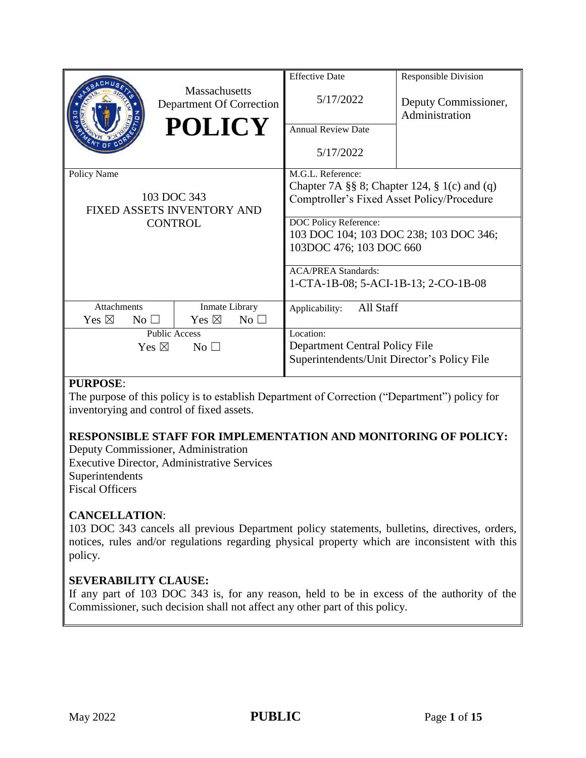|                                                                            | <b>Massachusetts</b><br>Department Of Correction<br><b>POLICY</b> | <b>Effective Date</b><br>5/17/2022<br><b>Annual Review Date</b><br>5/17/2022                                                                                                                                  | <b>Responsible Division</b><br>Deputy Commissioner,<br>Administration |  |  |
|----------------------------------------------------------------------------|-------------------------------------------------------------------|---------------------------------------------------------------------------------------------------------------------------------------------------------------------------------------------------------------|-----------------------------------------------------------------------|--|--|
| Policy Name<br>103 DOC 343<br>FIXED ASSETS INVENTORY AND<br><b>CONTROL</b> |                                                                   | M.G.L. Reference:<br>Chapter 7A §§ 8; Chapter 124, § 1(c) and (q)<br>Comptroller's Fixed Asset Policy/Procedure<br>DOC Policy Reference:<br>103 DOC 104; 103 DOC 238; 103 DOC 346;<br>103DOC 476; 103 DOC 660 |                                                                       |  |  |
|                                                                            |                                                                   | <b>ACA/PREA Standards:</b><br>1-CTA-1B-08; 5-ACI-1B-13; 2-CO-1B-08                                                                                                                                            |                                                                       |  |  |
| Attachments<br>Yes $\boxtimes$<br>$No$ $\square$                           | Inmate Library<br>Yes $\boxtimes$<br>No <sub>1</sub>              | All Staff<br>Applicability:                                                                                                                                                                                   |                                                                       |  |  |
| <b>Public Access</b><br>Yes $\boxtimes$<br>$\rm No \,\,\square$            |                                                                   | Location:<br>Department Central Policy File<br>Superintendents/Unit Director's Policy File                                                                                                                    |                                                                       |  |  |

## **PURPOSE**:

The purpose of this policy is to establish Department of Correction ("Department") policy for inventorying and control of fixed assets.

## **RESPONSIBLE STAFF FOR IMPLEMENTATION AND MONITORING OF POLICY:**

Deputy Commissioner, Administration Executive Director, Administrative Services Superintendents Fiscal Officers

## **CANCELLATION**:

103 DOC 343 cancels all previous Department policy statements, bulletins, directives, orders, notices, rules and/or regulations regarding physical property which are inconsistent with this policy.

## **SEVERABILITY CLAUSE:**

If any part of 103 DOC 343 is, for any reason, held to be in excess of the authority of the Commissioner, such decision shall not affect any other part of this policy.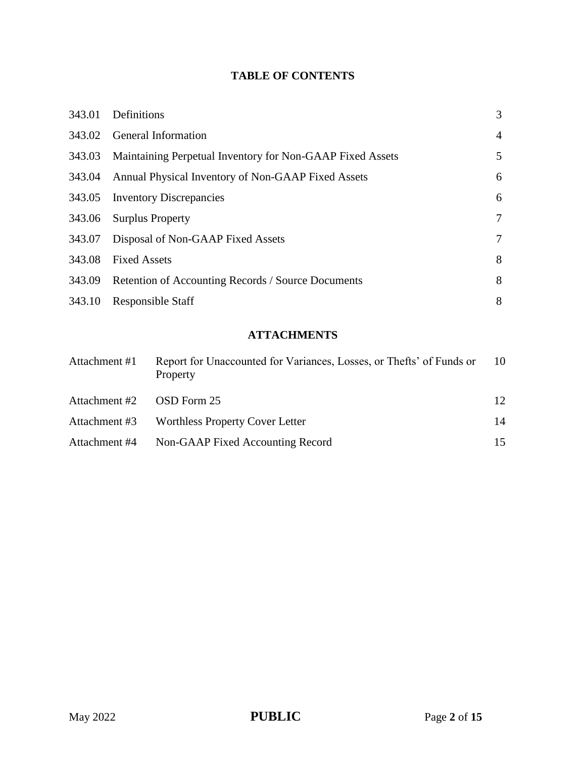# **TABLE OF CONTENTS**

| 343.01 | Definitions                                               | 3              |
|--------|-----------------------------------------------------------|----------------|
| 343.02 | General Information                                       | $\overline{4}$ |
| 343.03 | Maintaining Perpetual Inventory for Non-GAAP Fixed Assets | 5              |
| 343.04 | Annual Physical Inventory of Non-GAAP Fixed Assets        | 6              |
| 343.05 | <b>Inventory Discrepancies</b>                            | 6              |
| 343.06 | <b>Surplus Property</b>                                   | $\tau$         |
| 343.07 | Disposal of Non-GAAP Fixed Assets                         | $\tau$         |
| 343.08 | <b>Fixed Assets</b>                                       | 8              |
| 343.09 | Retention of Accounting Records / Source Documents        | 8              |
| 343.10 | <b>Responsible Staff</b>                                  | 8              |
|        |                                                           |                |

# **ATTACHMENTS**

| Attachment #1 | Report for Unaccounted for Variances, Losses, or Thefts' of Funds or<br>Property | 10 |
|---------------|----------------------------------------------------------------------------------|----|
| Attachment #2 | OSD Form 25                                                                      | 12 |
| Attachment #3 | Worthless Property Cover Letter                                                  | 14 |
| Attachment #4 | Non-GAAP Fixed Accounting Record                                                 | 15 |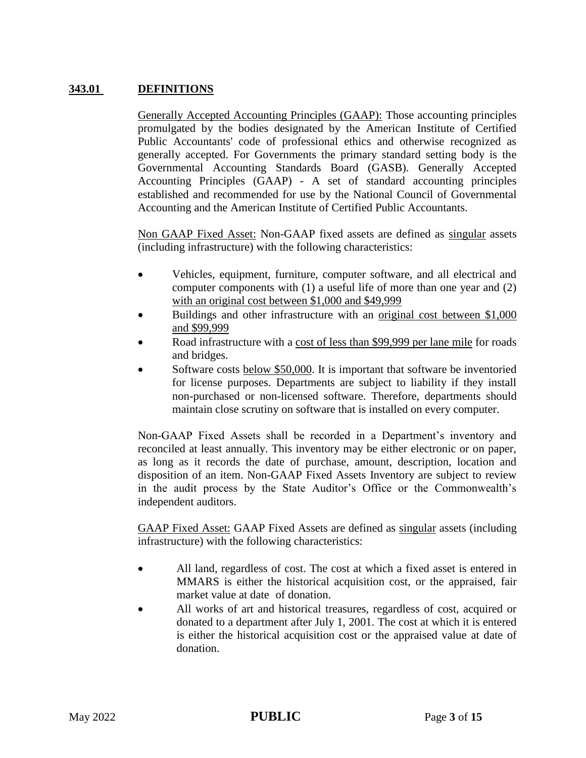## **343.01 DEFINITIONS**

Generally Accepted Accounting Principles (GAAP): Those accounting principles promulgated by the bodies designated by the American Institute of Certified Public Accountants' code of professional ethics and otherwise recognized as generally accepted. For Governments the primary standard setting body is the Governmental Accounting Standards Board (GASB). Generally Accepted Accounting Principles (GAAP) - A set of standard accounting principles established and recommended for use by the National Council of Governmental Accounting and the American Institute of Certified Public Accountants.

Non GAAP Fixed Asset: Non-GAAP fixed assets are defined as singular assets (including infrastructure) with the following characteristics:

- Vehicles, equipment, furniture, computer software, and all electrical and computer components with (1) a useful life of more than one year and (2) with an original cost between \$1,000 and \$49,999
- Buildings and other infrastructure with an original cost between \$1,000 and \$99,999
- Road infrastructure with a cost of less than \$99,999 per lane mile for roads and bridges.
- Software costs below \$50,000. It is important that software be inventoried for license purposes. Departments are subject to liability if they install non-purchased or non-licensed software. Therefore, departments should maintain close scrutiny on software that is installed on every computer.

Non-GAAP Fixed Assets shall be recorded in a Department's inventory and reconciled at least annually. This inventory may be either electronic or on paper, as long as it records the date of purchase, amount, description, location and disposition of an item. Non-GAAP Fixed Assets Inventory are subject to review in the audit process by the State Auditor's Office or the Commonwealth's independent auditors.

GAAP Fixed Asset: GAAP Fixed Assets are defined as singular assets (including infrastructure) with the following characteristics:

- All land, regardless of cost. The cost at which a fixed asset is entered in MMARS is either the historical acquisition cost, or the appraised, fair market value at date of donation.
- All works of art and historical treasures, regardless of cost, acquired or donated to a department after July 1, 2001. The cost at which it is entered is either the historical acquisition cost or the appraised value at date of donation.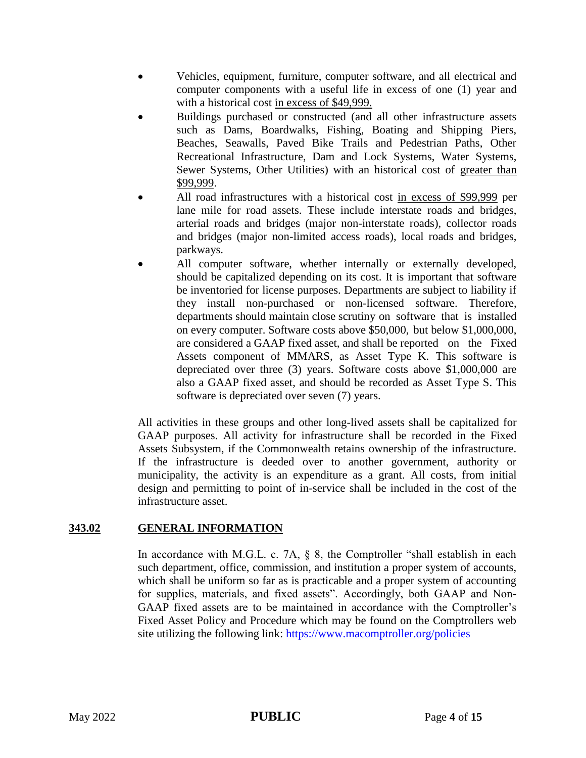- Vehicles, equipment, furniture, computer software, and all electrical and computer components with a useful life in excess of one (1) year and with a historical cost in excess of \$49,999.
- Buildings purchased or constructed (and all other infrastructure assets such as Dams, Boardwalks, Fishing, Boating and Shipping Piers, Beaches, Seawalls, Paved Bike Trails and Pedestrian Paths, Other Recreational Infrastructure, Dam and Lock Systems, Water Systems, Sewer Systems, Other Utilities) with an historical cost of greater than \$99,999.
- All road infrastructures with a historical cost in excess of \$99,999 per lane mile for road assets. These include interstate roads and bridges, arterial roads and bridges (major non-interstate roads), collector roads and bridges (major non-limited access roads), local roads and bridges, parkways.
- All computer software, whether internally or externally developed, should be capitalized depending on its cost. It is important that software be inventoried for license purposes. Departments are subject to liability if they install non-purchased or non-licensed software. Therefore, departments should maintain close scrutiny on software that is installed on every computer. Software costs above \$50,000, but below \$1,000,000, are considered a GAAP fixed asset, and shall be reported on the Fixed Assets component of MMARS, as Asset Type K. This software is depreciated over three (3) years. Software costs above \$1,000,000 are also a GAAP fixed asset, and should be recorded as Asset Type S. This software is depreciated over seven (7) years.

All activities in these groups and other long-lived assets shall be capitalized for GAAP purposes. All activity for infrastructure shall be recorded in the Fixed Assets Subsystem, if the Commonwealth retains ownership of the infrastructure. If the infrastructure is deeded over to another government, authority or municipality, the activity is an expenditure as a grant. All costs, from initial design and permitting to point of in-service shall be included in the cost of the infrastructure asset.

## **343.02 GENERAL INFORMATION**

In accordance with M.G.L. c. 7A, § 8, the Comptroller "shall establish in each such department, office, commission, and institution a proper system of accounts, which shall be uniform so far as is practicable and a proper system of accounting for supplies, materials, and fixed assets". Accordingly, both GAAP and Non-GAAP fixed assets are to be maintained in accordance with the Comptroller's Fixed Asset Policy and Procedure which may be found on the Comptrollers web site utilizing the following link: <https://www.macomptroller.org/policies>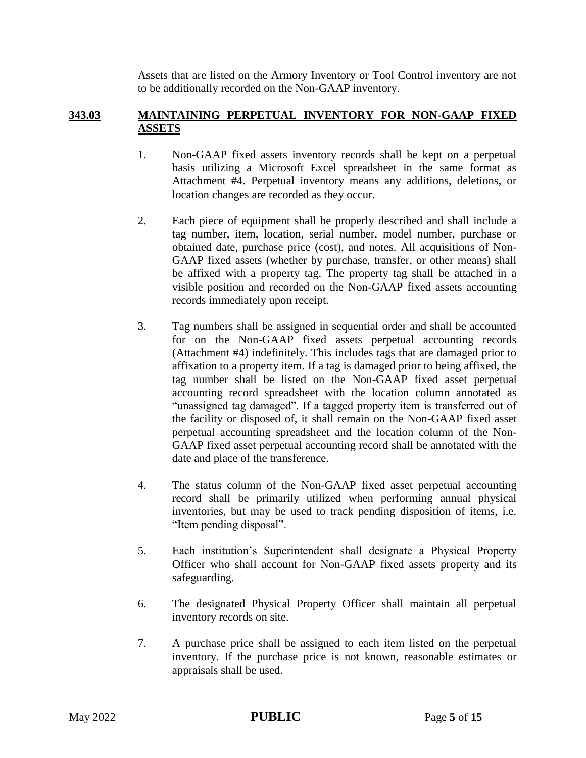Assets that are listed on the Armory Inventory or Tool Control inventory are not to be additionally recorded on the Non-GAAP inventory.

## **343.03 MAINTAINING PERPETUAL INVENTORY FOR NON-GAAP FIXED ASSETS**

- 1. Non-GAAP fixed assets inventory records shall be kept on a perpetual basis utilizing a Microsoft Excel spreadsheet in the same format as Attachment #4. Perpetual inventory means any additions, deletions, or location changes are recorded as they occur.
- 2. Each piece of equipment shall be properly described and shall include a tag number, item, location, serial number, model number, purchase or obtained date, purchase price (cost), and notes. All acquisitions of Non-GAAP fixed assets (whether by purchase, transfer, or other means) shall be affixed with a property tag. The property tag shall be attached in a visible position and recorded on the Non-GAAP fixed assets accounting records immediately upon receipt.
- 3. Tag numbers shall be assigned in sequential order and shall be accounted for on the Non-GAAP fixed assets perpetual accounting records (Attachment #4) indefinitely. This includes tags that are damaged prior to affixation to a property item. If a tag is damaged prior to being affixed, the tag number shall be listed on the Non-GAAP fixed asset perpetual accounting record spreadsheet with the location column annotated as "unassigned tag damaged". If a tagged property item is transferred out of the facility or disposed of, it shall remain on the Non-GAAP fixed asset perpetual accounting spreadsheet and the location column of the Non-GAAP fixed asset perpetual accounting record shall be annotated with the date and place of the transference.
- 4. The status column of the Non-GAAP fixed asset perpetual accounting record shall be primarily utilized when performing annual physical inventories, but may be used to track pending disposition of items, i.e. "Item pending disposal".
- 5. Each institution's Superintendent shall designate a Physical Property Officer who shall account for Non-GAAP fixed assets property and its safeguarding.
- 6. The designated Physical Property Officer shall maintain all perpetual inventory records on site.
- 7. A purchase price shall be assigned to each item listed on the perpetual inventory. If the purchase price is not known, reasonable estimates or appraisals shall be used.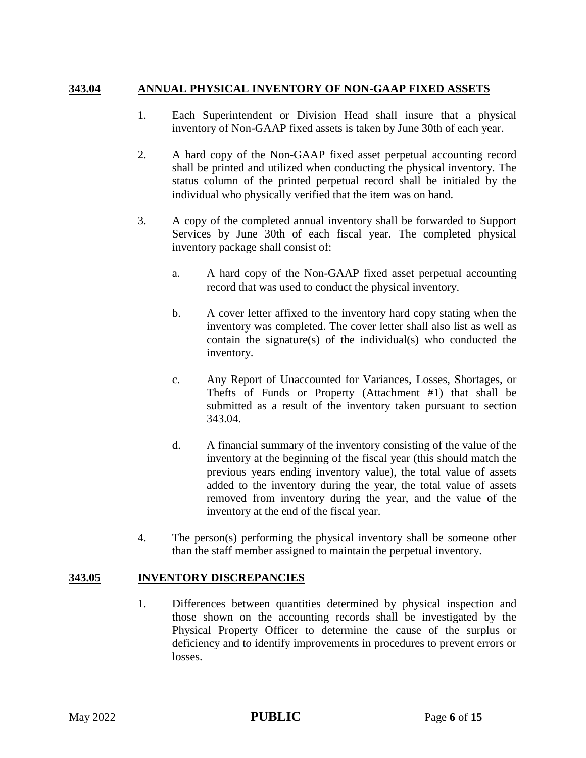## **343.04 ANNUAL PHYSICAL INVENTORY OF NON-GAAP FIXED ASSETS**

- 1. Each Superintendent or Division Head shall insure that a physical inventory of Non-GAAP fixed assets is taken by June 30th of each year.
- 2. A hard copy of the Non-GAAP fixed asset perpetual accounting record shall be printed and utilized when conducting the physical inventory. The status column of the printed perpetual record shall be initialed by the individual who physically verified that the item was on hand.
- 3. A copy of the completed annual inventory shall be forwarded to Support Services by June 30th of each fiscal year. The completed physical inventory package shall consist of:
	- a. A hard copy of the Non-GAAP fixed asset perpetual accounting record that was used to conduct the physical inventory.
	- b. A cover letter affixed to the inventory hard copy stating when the inventory was completed. The cover letter shall also list as well as contain the signature(s) of the individual(s) who conducted the inventory.
	- c. Any Report of Unaccounted for Variances, Losses, Shortages, or Thefts of Funds or Property (Attachment #1) that shall be submitted as a result of the inventory taken pursuant to section 343.04.
	- d. A financial summary of the inventory consisting of the value of the inventory at the beginning of the fiscal year (this should match the previous years ending inventory value), the total value of assets added to the inventory during the year, the total value of assets removed from inventory during the year, and the value of the inventory at the end of the fiscal year.
- 4. The person(s) performing the physical inventory shall be someone other than the staff member assigned to maintain the perpetual inventory.

#### **343.05 INVENTORY DISCREPANCIES**

1. Differences between quantities determined by physical inspection and those shown on the accounting records shall be investigated by the Physical Property Officer to determine the cause of the surplus or deficiency and to identify improvements in procedures to prevent errors or losses.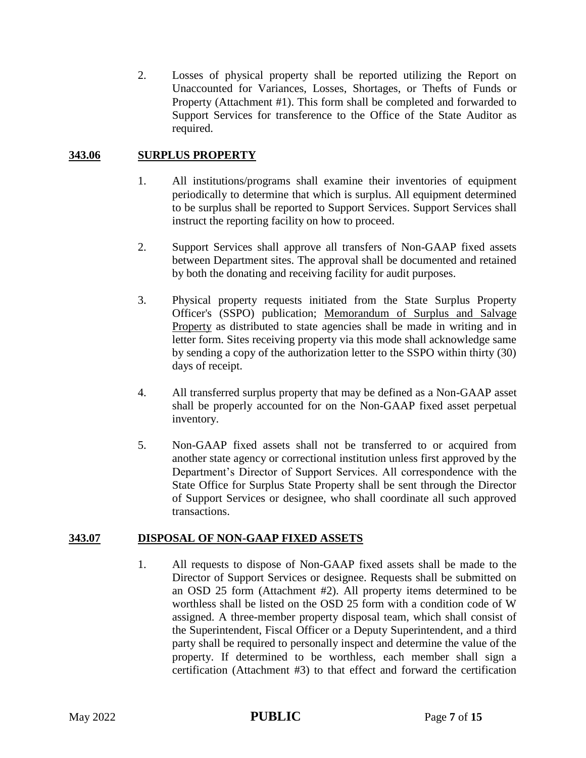2. Losses of physical property shall be reported utilizing the Report on Unaccounted for Variances, Losses, Shortages, or Thefts of Funds or Property (Attachment #1). This form shall be completed and forwarded to Support Services for transference to the Office of the State Auditor as required.

## **343.06 SURPLUS PROPERTY**

- 1. All institutions/programs shall examine their inventories of equipment periodically to determine that which is surplus. All equipment determined to be surplus shall be reported to Support Services. Support Services shall instruct the reporting facility on how to proceed.
- 2. Support Services shall approve all transfers of Non-GAAP fixed assets between Department sites. The approval shall be documented and retained by both the donating and receiving facility for audit purposes.
- 3. Physical property requests initiated from the State Surplus Property Officer's (SSPO) publication; Memorandum of Surplus and Salvage Property as distributed to state agencies shall be made in writing and in letter form. Sites receiving property via this mode shall acknowledge same by sending a copy of the authorization letter to the SSPO within thirty (30) days of receipt.
- 4. All transferred surplus property that may be defined as a Non-GAAP asset shall be properly accounted for on the Non-GAAP fixed asset perpetual inventory.
- 5. Non-GAAP fixed assets shall not be transferred to or acquired from another state agency or correctional institution unless first approved by the Department's Director of Support Services. All correspondence with the State Office for Surplus State Property shall be sent through the Director of Support Services or designee, who shall coordinate all such approved transactions.

#### **343.07 DISPOSAL OF NON-GAAP FIXED ASSETS**

1. All requests to dispose of Non-GAAP fixed assets shall be made to the Director of Support Services or designee. Requests shall be submitted on an OSD 25 form (Attachment #2). All property items determined to be worthless shall be listed on the OSD 25 form with a condition code of W assigned. A three-member property disposal team, which shall consist of the Superintendent, Fiscal Officer or a Deputy Superintendent, and a third party shall be required to personally inspect and determine the value of the property. If determined to be worthless, each member shall sign a certification (Attachment #3) to that effect and forward the certification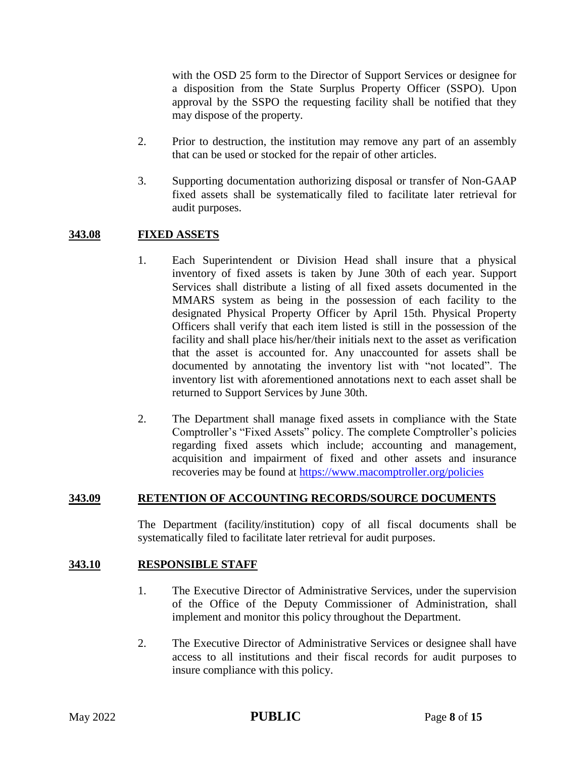with the OSD 25 form to the Director of Support Services or designee for a disposition from the State Surplus Property Officer (SSPO). Upon approval by the SSPO the requesting facility shall be notified that they may dispose of the property.

- 2. Prior to destruction, the institution may remove any part of an assembly that can be used or stocked for the repair of other articles.
- 3. Supporting documentation authorizing disposal or transfer of Non-GAAP fixed assets shall be systematically filed to facilitate later retrieval for audit purposes.

### **343.08 FIXED ASSETS**

- 1. Each Superintendent or Division Head shall insure that a physical inventory of fixed assets is taken by June 30th of each year. Support Services shall distribute a listing of all fixed assets documented in the MMARS system as being in the possession of each facility to the designated Physical Property Officer by April 15th. Physical Property Officers shall verify that each item listed is still in the possession of the facility and shall place his/her/their initials next to the asset as verification that the asset is accounted for. Any unaccounted for assets shall be documented by annotating the inventory list with "not located". The inventory list with aforementioned annotations next to each asset shall be returned to Support Services by June 30th.
- 2. The Department shall manage fixed assets in compliance with the State Comptroller's "Fixed Assets" policy. The complete Comptroller's policies regarding fixed assets which include; accounting and management, acquisition and impairment of fixed and other assets and insurance recoveries may be found at<https://www.macomptroller.org/policies>

#### **343.09 RETENTION OF ACCOUNTING RECORDS/SOURCE DOCUMENTS**

The Department (facility/institution) copy of all fiscal documents shall be systematically filed to facilitate later retrieval for audit purposes.

#### **343.10 RESPONSIBLE STAFF**

- 1. The Executive Director of Administrative Services, under the supervision of the Office of the Deputy Commissioner of Administration, shall implement and monitor this policy throughout the Department.
- 2. The Executive Director of Administrative Services or designee shall have access to all institutions and their fiscal records for audit purposes to insure compliance with this policy.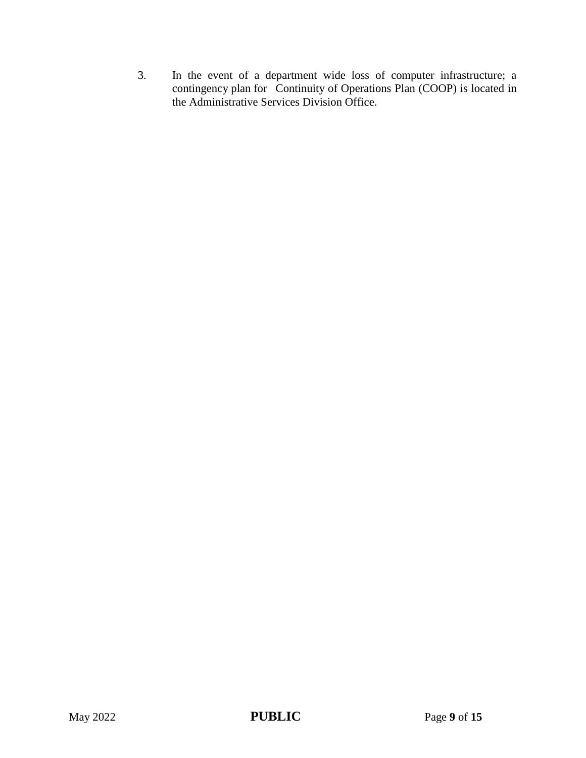3. In the event of a department wide loss of computer infrastructure; a contingency plan for Continuity of Operations Plan (COOP) is located in the Administrative Services Division Office.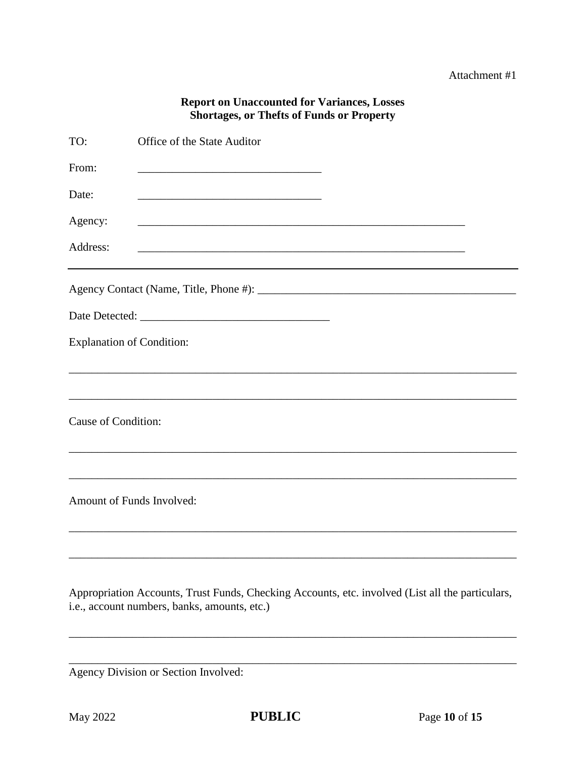## **Report on Unaccounted for Variances, Losses Shortages, or Thefts of Funds or Property**

| TO:                              | Office of the State Auditor                                 |
|----------------------------------|-------------------------------------------------------------|
| From:                            | <u> 1989 - Johann Barbara, martxa al III-lea (h. 1989).</u> |
| Date:                            |                                                             |
| Agency:                          |                                                             |
| Address:                         |                                                             |
|                                  |                                                             |
|                                  |                                                             |
| <b>Explanation of Condition:</b> |                                                             |
|                                  |                                                             |
| Cause of Condition:              |                                                             |
|                                  |                                                             |
| Amount of Funds Involved:        |                                                             |
|                                  |                                                             |
|                                  |                                                             |

Appropriation Accounts, Trust Funds, Checking Accounts, etc. involved (List all the particulars, i.e., account numbers, banks, amounts, etc.)

Agency Division or Section Involved: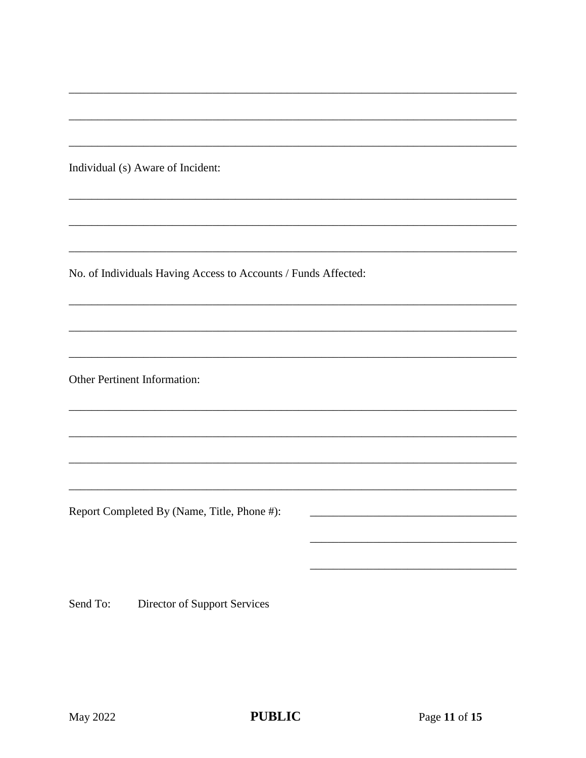Individual (s) Aware of Incident:

No. of Individuals Having Access to Accounts / Funds Affected:

Other Pertinent Information:

Report Completed By (Name, Title, Phone #):

Send To: Director of Support Services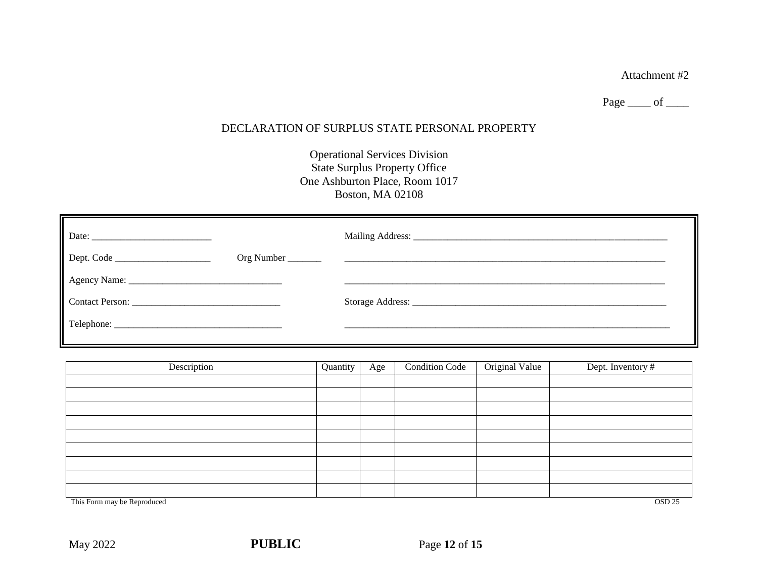Page  $\rule{1em}{0.15mm}$  of  $\rule{1em}{0.15mm}$ 

## DECLARATION OF SURPLUS STATE PERSONAL PROPERTY

Operational Services Division State Surplus Property Office One Ashburton Place, Room 1017 Boston, MA 02108

| Description                                      | Quantity | Age | <b>Condition Code</b> | Original Value | Dept. Inventory # |
|--------------------------------------------------|----------|-----|-----------------------|----------------|-------------------|
|                                                  |          |     |                       |                |                   |
|                                                  |          |     |                       |                |                   |
|                                                  |          |     |                       |                |                   |
|                                                  |          |     |                       |                |                   |
|                                                  |          |     |                       |                |                   |
|                                                  |          |     |                       |                |                   |
|                                                  |          |     |                       |                |                   |
|                                                  |          |     |                       |                |                   |
|                                                  |          |     |                       |                |                   |
| This Form may be Reproduced<br>OSD <sub>25</sub> |          |     |                       |                |                   |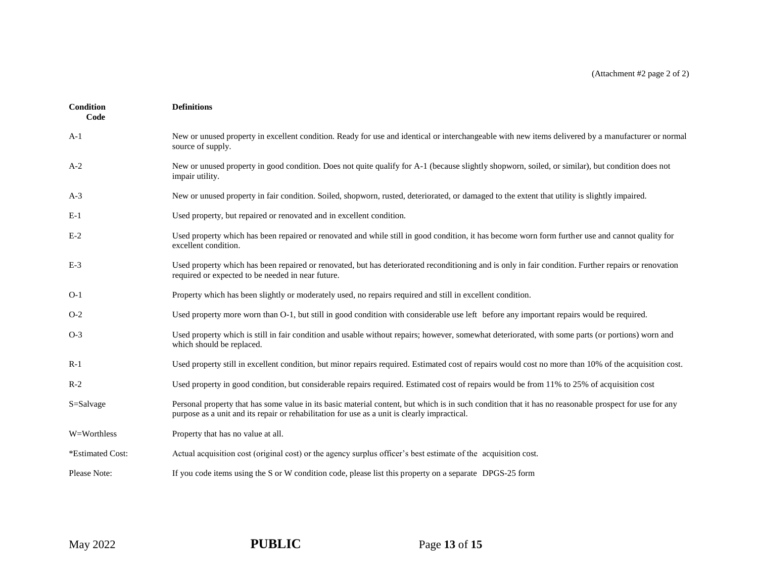| Condition<br>Code | <b>Definitions</b>                                                                                                                                                                                                                                     |
|-------------------|--------------------------------------------------------------------------------------------------------------------------------------------------------------------------------------------------------------------------------------------------------|
| $A-1$             | New or unused property in excellent condition. Ready for use and identical or interchangeable with new items delivered by a manufacturer or normal<br>source of supply.                                                                                |
| $A-2$             | New or unused property in good condition. Does not quite qualify for A-1 (because slightly shopworn, soiled, or similar), but condition does not<br>impair utility.                                                                                    |
| $A-3$             | New or unused property in fair condition. Soiled, shopworn, rusted, deteriorated, or damaged to the extent that utility is slightly impaired.                                                                                                          |
| $E-1$             | Used property, but repaired or renovated and in excellent condition.                                                                                                                                                                                   |
| $E-2$             | Used property which has been repaired or renovated and while still in good condition, it has become worn form further use and cannot quality for<br>excellent condition.                                                                               |
| $E-3$             | Used property which has been repaired or renovated, but has deteriorated reconditioning and is only in fair condition. Further repairs or renovation<br>required or expected to be needed in near future.                                              |
| $O-1$             | Property which has been slightly or moderately used, no repairs required and still in excellent condition.                                                                                                                                             |
| $O-2$             | Used property more worn than O-1, but still in good condition with considerable use left before any important repairs would be required.                                                                                                               |
| $O-3$             | Used property which is still in fair condition and usable without repairs; however, somewhat deteriorated, with some parts (or portions) worn and<br>which should be replaced.                                                                         |
| $R-1$             | Used property still in excellent condition, but minor repairs required. Estimated cost of repairs would cost no more than 10% of the acquisition cost.                                                                                                 |
| $R-2$             | Used property in good condition, but considerable repairs required. Estimated cost of repairs would be from 11% to 25% of acquisition cost                                                                                                             |
| S=Salvage         | Personal property that has some value in its basic material content, but which is in such condition that it has no reasonable prospect for use for any<br>purpose as a unit and its repair or rehabilitation for use as a unit is clearly impractical. |
| W=Worthless       | Property that has no value at all.                                                                                                                                                                                                                     |
| *Estimated Cost:  | Actual acquisition cost (original cost) or the agency surplus officer's best estimate of the acquisition cost.                                                                                                                                         |
| Please Note:      | If you code items using the S or W condition code, please list this property on a separate DPGS-25 form                                                                                                                                                |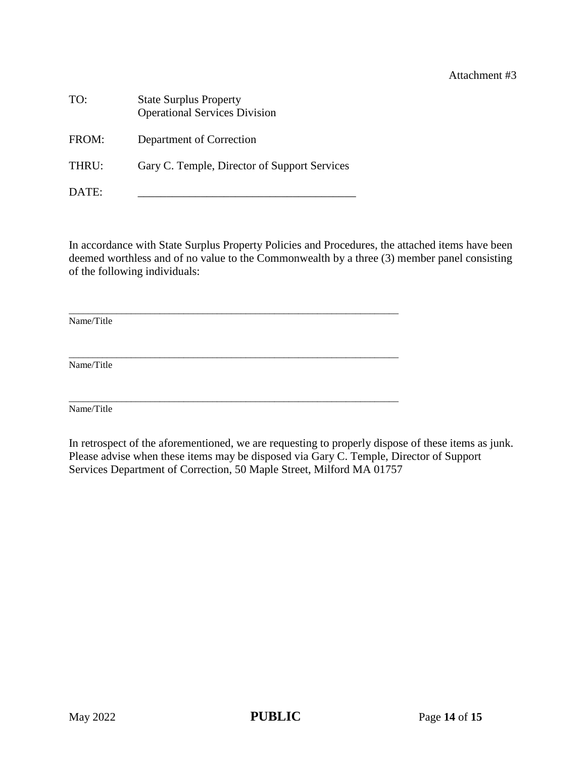| TO:   | <b>State Surplus Property</b><br><b>Operational Services Division</b> |
|-------|-----------------------------------------------------------------------|
| FROM: | Department of Correction                                              |
| THRU: | Gary C. Temple, Director of Support Services                          |
| DATE: |                                                                       |

\_\_\_\_\_\_\_\_\_\_\_\_\_\_\_\_\_\_\_\_\_\_\_\_\_\_\_\_\_\_\_\_\_\_\_\_\_\_\_\_\_\_\_\_\_\_\_\_\_\_\_\_\_\_\_\_\_\_\_\_\_\_\_\_\_\_\_\_\_

\_\_\_\_\_\_\_\_\_\_\_\_\_\_\_\_\_\_\_\_\_\_\_\_\_\_\_\_\_\_\_\_\_\_\_\_\_\_\_\_\_\_\_\_\_\_\_\_\_\_\_\_\_\_\_\_\_\_\_\_\_\_\_\_\_\_\_\_\_

In accordance with State Surplus Property Policies and Procedures, the attached items have been deemed worthless and of no value to the Commonwealth by a three (3) member panel consisting of the following individuals:

\_\_\_\_\_\_\_\_\_\_\_\_\_\_\_\_\_\_\_\_\_\_\_\_\_\_\_\_\_\_\_\_\_\_\_\_\_\_\_\_\_\_\_\_\_\_\_\_\_\_\_\_\_\_\_\_\_\_\_\_\_\_\_\_\_\_\_\_\_ Name/Title

Name/Title

Name/Title

In retrospect of the aforementioned, we are requesting to properly dispose of these items as junk. Please advise when these items may be disposed via Gary C. Temple, Director of Support Services Department of Correction, 50 Maple Street, Milford MA 01757